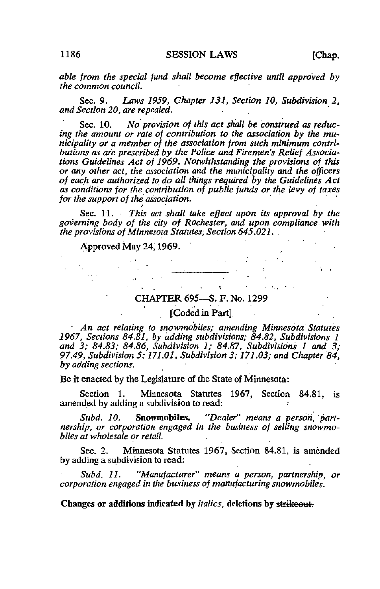able from the special fund shall become effective until approved by the common council.

Sec. 9. Laws 1959, Chapter 131, Section 10, Subdivision 2, and Section 20, are repealed, .

Sec. 10. No provision of this act shall be construed as reducing the amount or rate of contribution to the association by the municipality or a member of the association from such minimum contributions as are prescribed by the Police and Firemen's Relief Associations Guidelines Act of 1969. Notwithstanding the provisions of this or any other act, the association and the municipality and the officers of each are authorized to do all things required by the Guidelines Act as conditions for the contribution of public funds or the levy of taxes for the support of the association.

Sec. 11.  $\cdot$  This act shall take effect upon its approval by the governing body of the city of Rochester, and upon compliance with the provisions of Minnesota Statutes, Section 645.021. .

} . •

 $\label{eq:2.1} \frac{1}{2} \int_{\mathbb{R}^3} \left| \frac{1}{2} \left( \frac{1}{2} \left( \frac{1}{2} \right) \right) \right| \, d\mathbf{x} \, d\mathbf{x} \, d\mathbf{x} \, d\mathbf{x} \, d\mathbf{x} \, d\mathbf{x} \, d\mathbf{x} \, d\mathbf{x} \, d\mathbf{x} \, d\mathbf{x} \, d\mathbf{x} \, d\mathbf{x} \, d\mathbf{x} \, d\mathbf{x} \, d\mathbf{x} \, d\mathbf{x} \, d\mathbf{x} \, d\mathbf{x} \, d\mathbf{x} \$ 

 $\label{eq:2.1} \mathcal{L}_{\mathcal{A}}(\mathbf{r}) = \mathcal{L}_{\mathcal{A}}(\mathbf{r}) = \mathcal{L}_{\mathcal{A}}(\mathbf{r}) = \mathcal{L}_{\mathcal{A}}(\mathbf{r})$ 

 $\sim 10^{-11}$ 

## Approved May 24,1969.

## CHAPTER 695—S. F. No. 1299

## [Coded in Part]

' An act relating to snowmobiles; amending Minnesota Statutes 1967, Sections 84.81, by adding subdivisions; 84.82, Subdivisions 1 and 3; 84.83; 84.86, Subdivision 1; 84.87, Subdivisions 1 and 3; 97.49, Subdivision 5; 171.01, Subdivision 3; 171.03; and Chapter 84, by adding sections.

Be it enacted by the Legislature of the State of Minnesota:

Section 1. Minnesota Statutes 1967, Section 84.81, is amended by adding a subdivision to read: •

Subd. 10. Snowmobiles. "Dealer" means a person, partnership, or corporation engaged in the business of selling snowmobiles at wholesale or retail.

Sec. 2. Minnesota Statutes 1967, Section 84.81, is amended by adding a subdivision to read:

Subd. 11. "Manufacturer" means a person, partnership, or corporation engaged in the business of manufacturing snowmobiles.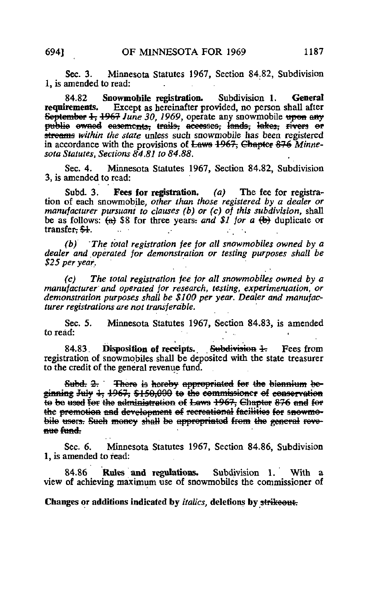Sec. 3. Minnesota Statutes 1967, Section 84.82, Subdivision 1, is amended to read:

84.82 Snowmobile registration. Subdivision 1. General requirements. Except as hereinafter provided, no person shall after Except as hereinafter provided, no person shall after September  $\frac{1}{2}$ ,  $\frac{1967}{2}$  June 30, 1969, operate any snowmobile upon any publie ewned easements; trails, accesses, lands, lakes, rivers or streams within the state unless such snowmobile has been registered in accordance with the provisions of <del>Laws 1967, Chapter 876</del> Minnesota Statutes, Sections 84.81 to 84.88.

Sec. 4. Minnesota Statutes 1967, Section 84.82, Subdivision 3, is amended to read:

Subd. 3. Fees for registration.  $(a)$  The fee for registration of each snowmobile, other than those registered by a dealer or manufacturer pursuant to clauses (b) or (c) of this subdivision, shall be as follows:  $(a)$  \$8 for three years; and \$1 for a  $(b)$  duplicate or transfer<del>. \$1</del>.

(b)' 'The total registration fee for all snowmobiles owned by a dealer and operated for demonstration or testing purposes shall be \$25 per year.

(c) The total registration fee for all snowmobiles owned by a manufacturer and operated for research, testing, experimentation, or demonstration purposes shall be \$100 per year. Dealer and manufacturer registrations are not transferable.

Sec. 5. Minnesota Statutes 1967, Section 84.83, is amended to read:

84.83. Disposition of receipts. Subdivision 4. Fees from registration of snowmobiles shall be deposited with the state treasurer to the credit of the general revenue fund.

Subd.  $2r$  There is hereby appropriated for the biennium beginning July 4, 1967, \$150,000 te the commissioner of conservation to be used for the administration of Laws 1967, Chapter 876 and for the premotion and development of recreational facilities for snowmobile users. Such moncy shall be appropriated from the general reve-<br>mue fund:

Sec. 6. Minnesota Statutes 1967, Section 84.86, Subdivision 1, is amended to read:

84.86 Rules and regulations. Subdivision 1. With a view of achieving maximum use of snowmobiles the commissioner of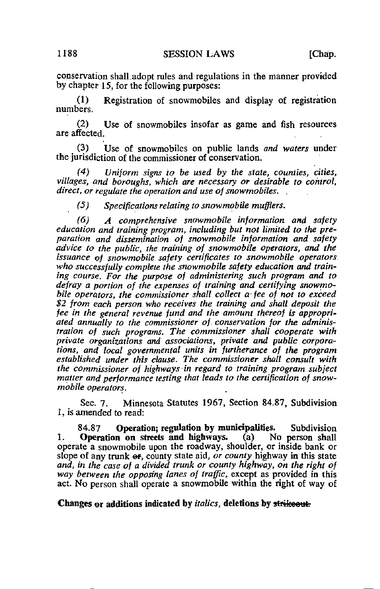1188 SESSION LAWS [Chap.

conservation shall.adopt rules and regulations in the manner provided by chapter 15, for the following purposes:

(1) Registration of snowmobiles and display of registration numbers.

(2) Use of snowmobiles insofar as game and fish resources are affected.

(3) Use of snowmobiles on public lands and waters under the jurisdiction of the commissioner of conservation.

(4) Uniform signs to be used by the state, counties, cities, villages, and boroughs, which are necessary or desirable to control, direct, or regulate the operation and use of snowmobiles.

(5) Specifications relating to snowmobile mufflers,

(6) A comprehensive snowmobile information and safety education and training program, including but not limited to the preparation and dissemination of snowmobile information and safety advice to the public, the training of snowmobile operators, and the issuance of snowmobile safety certificates to snowmobile operators who successfully complete the snowmobile safety education and training course. For the purpose of administering such program and to defray a portion of the expenses of training and certifying snowmobile operators, the commissioner shall collect a fee of not to exceed \$2 from each person who receives the training and shall deposit the fee in the general revenue fund and the amount thereof is appropriated annually to the commissioner of. conservation for the administration of such programs. The commissioner shall cooperate with private organizations and associations, private and public corporations, and local governmental units in furtherance of the program established under this clause. The commissioner shall consult with the commissioner of highways in regard to training program subject matter and performance testing that leads to the certification of snowmobile operators.

Sec. 7. Minnesota Statutes 1967, Section 84.87, Subdivision 1, is amended to read:

84.87 Operation; regulation by municipalities. Subdivision Operation on streets and highways. (a) No person shall 1. Operation on streets and highways. operate a snowmobile upon the roadway, shoulder, or inside bank or slope of any trunk  $\Theta$ , county state aid, or county highway in this state and, in the case of a divided trunk or county highway, on the right of way between the opposing lanes of traffic, except as provided in this act. No person shall operate a snowmobile within the right of way of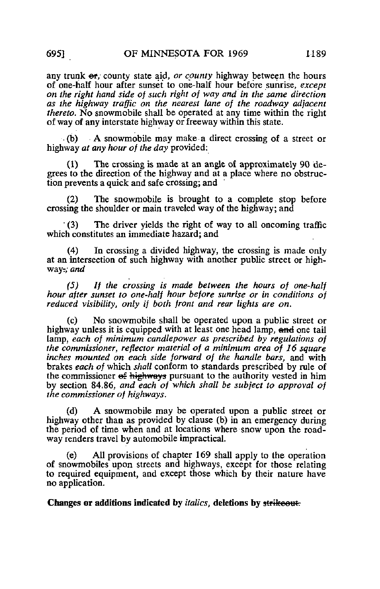any trunk  $er$ , county state aid, or county highway between the hours of one-half hour after sunset to one-half hour before sunrise, except on the right hand side of such right of way and in the same direction as the highway traffic on the nearest lane of the roadway adjacent thereto. No snowmobile shall be operated at any time within the right of way of any interstate highway or freeway within this state.

 $\cdot$  (b) A snowmobile may make a direct crossing of a street or highway *at any hour of the day* provided:

(1) The crossing is made at an angle of approximately 90 degrees to the direction of the highway and at a place where no obstruction prevents a quick and safe crossing; and

(2) The snowmobile is brought to a complete stop before crossing the shoulder or main traveled way of the highway; and

 $(3)$ The driver yields the right of way to all oncoming traffic which constitutes an immediate hazard; and

(4) In crossing a divided highway, the crossing is made only at an intersection of such highway with another public street or highway: *and* 

(5) If the crossing is made between the hours of one-half hour after sunset to one-half hour before sunrise or in conditions of reduced visibility, only if both front and rear lights are on.

(c) No snowmobile shall be operated upon a public street or highway unless it is equipped with at least one head lamp, and one tail lamp, each of minimum candlepower as prescribed by regulations of the commissioner, reflector material of a minimum area of 16 square inches mounted on each side forward of the handle bars, and with brakes each of which shall conform to standards prescribed by rule of the commissioner  $\epsilon$  highways pursuant to the authority vested in him by section 84.86, and each of which shall be subject to approval of the commissioner of highways.

(d) A snowmobile may be operated upon a public street or highway other than as provided by clause (b) in an emergency during the period of time when and at locations where snow upon the roadway renders travel by automobile impractical.

(e) All provisions of chapter 169 shall apply to the operation of snowmobiles upon streets and highways, except for those relating to required equipment, and except those which by their nature have no application.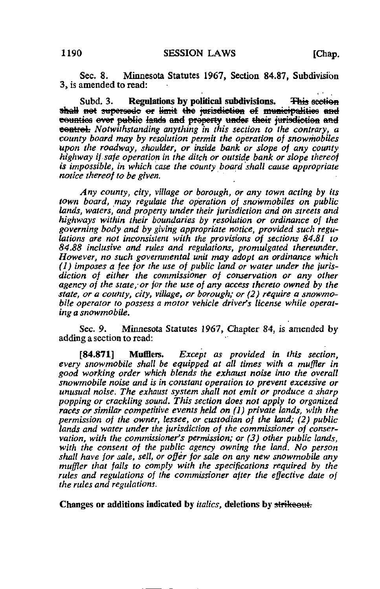Sec. 8. Minnesota Statutes 1967, Section 84.87, Subdivision 3, is amended to read:

Subd. 3. Regulations by political subdivisions. This section shall not supersede or limit the jurisdiction of municipalities and counties ever public lands and property under their jurisdiction and eentrel: Notwithstanding anything in this section to the contrary, a county board may by resolution permit the operation of snowmobiles upon the roadway, shoulder, or inside bank or slope of any county highway if safe operation in the ditch or outside bank or slope thereof is impossible, in which case the county board shall cause appropriate notice thereof to be given.

Any county, city, village or borough, or any town acting by its town board, may regulate the operation of snowmobiles on public lands, waters, and property under their jurisdiction and on streets and highways within their boundaries by resolution or ordinance of the governing body and by giving appropriate notice, provided such regulations are not inconsistent with the provisions of sections 84.81 to 84.88 inclusive and rules and regulations, promulgated thereunder. However, no such governmental unit may adopt an ordinance which (1) imposes a fee for the use of public land or water under the jurisdiction of either the commissioner of conservation or any other agency of the state, or for the use of any access thereto owned by the state, or a county, city, village, or borough; or (2) require a snowmobile operator to possess a motor vehicle driver's license while operating a snowmobile.

Sec. 9. Minnesota Statutes 1967, Chapter 84, is amended by adding a section to read:

[84.871] Mufflers. Except as provided in this section, every snowmobile shall be equipped at all times with a muffler in good working order which blends the exhaust noise into the overall snowmobile noise and is in constant operation to prevent excessive or unusual noise. The exhaust system shall not emit or produce a sharp popping or crackling sound. This section does not apply to organized races or similar competitive events held on (1) private lands, with the permission of the owner, lessee, or custodian of the land; (2) public lands and water under the jurisdiction of the commissioner of conservation, with the commissioner's permission; or (3) other public lands, with the consent of the public agency owning the land. No person shall have for sale, sell, or offer for sale on any new snowmobile any muffler that fails to comply with the specifications required by the rules and regulations of the commissioner after the effective date of the rules and regulations.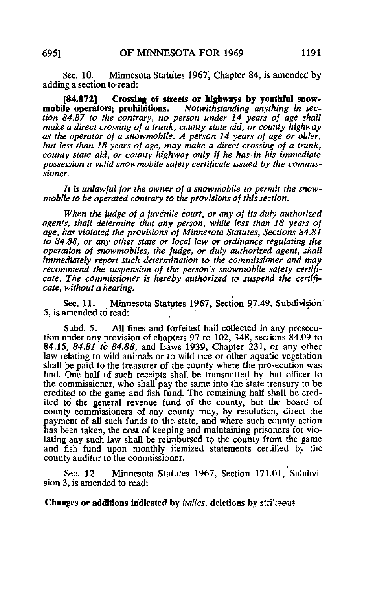Sec. 10. Minnesota Statutes 1967, Chapter 84, is amended by adding a section to read:

[84.872] Crossing of streets or highways by youthful snow-<br>ile operators; prohibitions. Notwithstanding anything in secmobile operators; prohibitions. tion 84.87 to the contrary, no person under 14 years of age shall make a direct crossing of a trunk, county state aid, or county highway as the operator of a snowmobile. A person 14 years of age or older, but less than 18 years of age, may make a direct crossing of a trunk, county state aid, or county highway only if he has in his immediate possession a valid snowmobile safety certificate issued by the commissioner.

It is unlawful for the owner of a snowmobile to permit the snowmobile to be operated contrary to the provisions of this section.

When the judge of a juvenile court, or any of its duly authorized agents, shall determine that any person, while less than 18 years of age, has violated the provisions of Minnesota Statutes, Sections 84.81 to 84.88, or any other state or local law or ordinance regulating the operation of snowmobiles, the judge, or duly authorized agent, shall immediately report such determination to the commissioner and may recommend the suspension of the person's snowmobile safety certificate. The commissioner is hereby authorized to suspend the certificate, without a hearing.

Sec. 11. Minnesota Statutes 1967, Section 97.49, Subdivision 5, is amended to read:

Subd. 5. All fines and forfeited bail collected in any prosecution under any provision of chapters 97 to 102, 348, sections 84.09 to 84.15, 84.81 to 84.88, and Laws 1939, Chapter 231, or any other law relating to wild animals or to wild rice or other aquatic vegetation shall be paid to the treasurer of the county where the prosecution was had. One half of such receipts .shall be transmitted by that officer to the commissioner, who shall pay the same into the state treasury to be credited to the game and fish fund. The remaining half shall be credited to the general revenue fund of the county, but the board of county commissioners of any county may, by resolution, direct the payment of all such funds to the state, and where such county action has been taken, the cost of keeping and maintaining prisoners for violating any such law shall be reimbursed to the county from the game and fish fund upon monthly itemized statements certified by the county auditor to the commissioner.

Sec. 12. Minnesota Statutes 1967, Section 171.01, Subdivision 3, is amended to read: